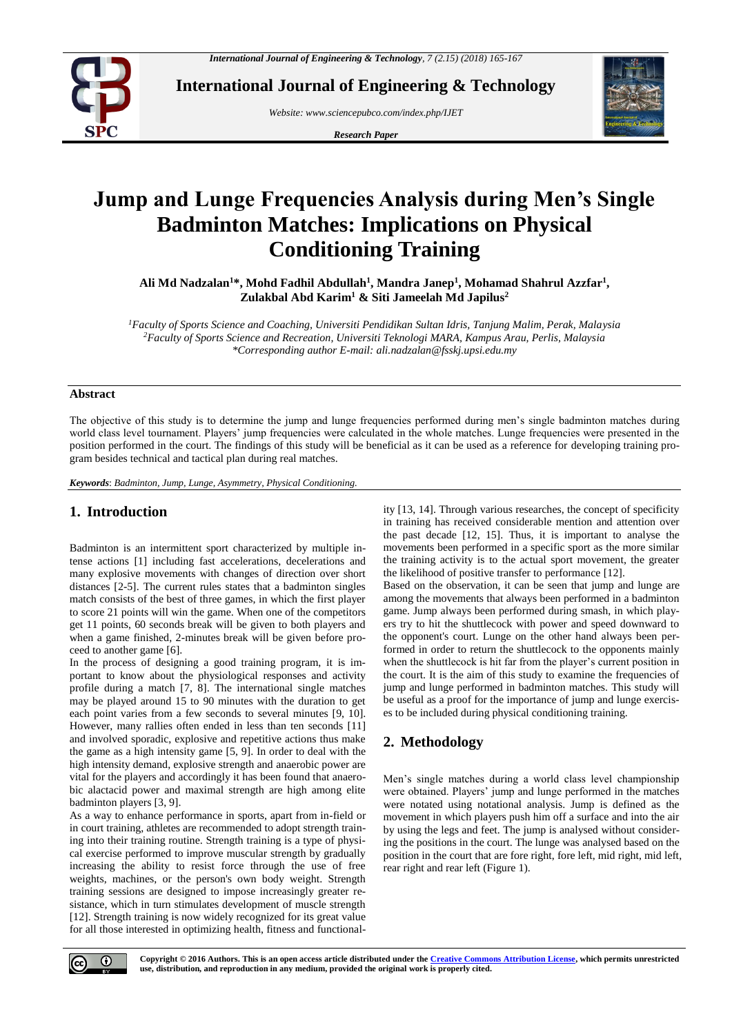

**International Journal of Engineering & Technology**

*Website: www.sciencepubco.com/index.php/IJET*

*Research Paper*



# **Jump and Lunge Frequencies Analysis during Men's Single Badminton Matches: Implications on Physical Conditioning Training**

**Ali Md Nadzalan<sup>1</sup>\*, Mohd Fadhil Abdullah<sup>1</sup> , Mandra Janep<sup>1</sup> , Mohamad Shahrul Azzfar<sup>1</sup> , Zulakbal Abd Karim<sup>1</sup> & Siti Jameelah Md Japilus<sup>2</sup>**

*<sup>1</sup>Faculty of Sports Science and Coaching, Universiti Pendidikan Sultan Idris, Tanjung Malim, Perak, Malaysia <sup>2</sup>Faculty of Sports Science and Recreation, Universiti Teknologi MARA, Kampus Arau, Perlis, Malaysia \*Corresponding author E-mail: ali.nadzalan@fsskj.upsi.edu.my* 

#### **Abstract**

The objective of this study is to determine the jump and lunge frequencies performed during men's single badminton matches during world class level tournament. Players' jump frequencies were calculated in the whole matches. Lunge frequencies were presented in the position performed in the court. The findings of this study will be beneficial as it can be used as a reference for developing training program besides technical and tactical plan during real matches.

*Keywords*: *Badminton, Jump, Lunge, Asymmetry, Physical Conditioning.*

# **1. Introduction**

Badminton is an intermittent sport characterized by multiple intense actions [1] including fast accelerations, decelerations and many explosive movements with changes of direction over short distances [2-5]. The current rules states that a badminton singles match consists of the best of three games, in which the first player to score 21 points will win the game. When one of the competitors get 11 points, 60 seconds break will be given to both players and when a game finished, 2-minutes break will be given before proceed to another game [6].

In the process of designing a good training program, it is important to know about the physiological responses and activity profile during a match [7, 8]. The international single matches may be played around 15 to 90 minutes with the duration to get each point varies from a few seconds to several minutes [9, 10]. However, many rallies often ended in less than ten seconds [11] and involved sporadic, explosive and repetitive actions thus make the game as a high intensity game [5, 9]. In order to deal with the high intensity demand, explosive strength and anaerobic power are vital for the players and accordingly it has been found that anaerobic alactacid power and maximal strength are high among elite badminton players [3, 9].

As a way to enhance performance in sports, apart from in-field or in court training, athletes are recommended to adopt strength training into their training routine. Strength training is a type of physical exercise performed to improve muscular strength by gradually increasing the ability to resist force through the use of free weights, machines, or the person's own body weight. Strength training sessions are designed to impose increasingly greater resistance, which in turn stimulates development of muscle strength [12]. Strength training is now widely recognized for its great value for all those interested in optimizing health, fitness and functionality [13, 14]. Through various researches, the concept of specificity in training has received considerable mention and attention over the past decade [12, 15]. Thus, it is important to analyse the movements been performed in a specific sport as the more similar the training activity is to the actual sport movement, the greater the likelihood of positive transfer to performance [12].

Based on the observation, it can be seen that jump and lunge are among the movements that always been performed in a badminton game. Jump always been performed during smash, in which players try to hit the shuttlecock with power and speed downward to the opponent's court. Lunge on the other hand always been performed in order to return the shuttlecock to the opponents mainly when the shuttlecock is hit far from the player's current position in the court. It is the aim of this study to examine the frequencies of jump and lunge performed in badminton matches. This study will be useful as a proof for the importance of jump and lunge exercises to be included during physical conditioning training.

## **2. Methodology**

Men's single matches during a world class level championship were obtained. Players' jump and lunge performed in the matches were notated using notational analysis. Jump is defined as the movement in which players push him off a surface and into the air by using the legs and feet. The jump is analysed without considering the positions in the court. The lunge was analysed based on the position in the court that are fore right, fore left, mid right, mid left, rear right and rear left (Figure 1).



**Copyright © 2016 Authors. This is an open access article distributed under th[e Creative Commons Attribution License,](http://creativecommons.org/licenses/by/3.0/) which permits unrestricted use, distribution, and reproduction in any medium, provided the original work is properly cited.**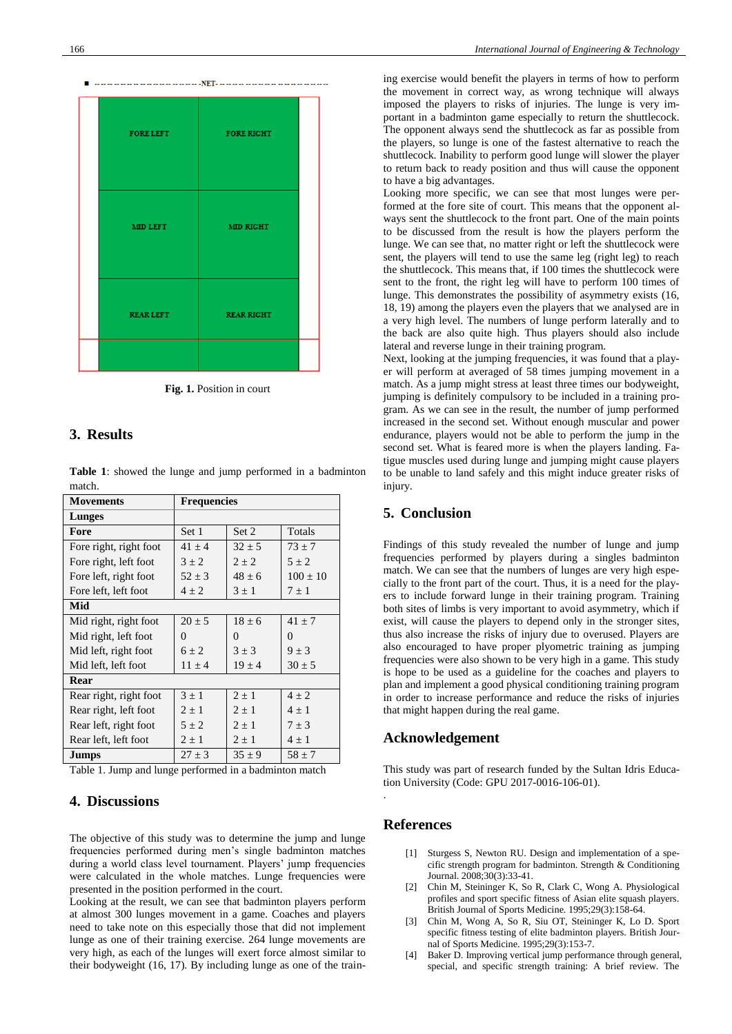



**Fig. 1.** Position in court

#### **3. Results**

**Table 1**: showed the lunge and jump performed in a badminton match.

| <b>Movements</b>       | <b>Frequencies</b> |            |              |
|------------------------|--------------------|------------|--------------|
| Lunges                 |                    |            |              |
| Fore                   | Set 1              | Set 2      | Totals       |
| Fore right, right foot | $41 \pm 4$         | $32 \pm 5$ | $73 + 7$     |
| Fore right, left foot  | $3 \pm 2$          | $2 + 2$    | $5\pm 2$     |
| Fore left, right foot  | $52 \pm 3$         | $48 + 6$   | $100 \pm 10$ |
| Fore left, left foot   | $4 \pm 2$          | $3 \pm 1$  | $7 \pm 1$    |
| Mid                    |                    |            |              |
| Mid right, right foot  | $20 \pm 5$         | $18 + 6$   | $41 \pm 7$   |
| Mid right, left foot   | 0                  | $\theta$   | 0            |
| Mid left, right foot   | $6 \pm 2$          | $3 \pm 3$  | $9 \pm 3$    |
| Mid left, left foot    | $11 \pm 4$         | $19 \pm 4$ | $30 \pm 5$   |
| Rear                   |                    |            |              |
| Rear right, right foot | $3 \pm 1$          | $2 \pm 1$  | $4 + 2$      |
| Rear right, left foot  | $2 \pm 1$          | $2 + 1$    | $4 + 1$      |
| Rear left, right foot  | $5\pm 2$           | $2 \pm 1$  | $7 \pm 3$    |
| Rear left, left foot   | $2 + 1$            | $2 \pm 1$  | $4 \pm 1$    |
| <b>Jumps</b>           | $27 \pm 3$         | $35 \pm 9$ | $58 \pm 7$   |

Table 1. Jump and lunge performed in a badminton match

# **4. Discussions**

The objective of this study was to determine the jump and lunge frequencies performed during men's single badminton matches during a world class level tournament. Players' jump frequencies were calculated in the whole matches. Lunge frequencies were presented in the position performed in the court.

Looking at the result, we can see that badminton players perform at almost 300 lunges movement in a game. Coaches and players need to take note on this especially those that did not implement lunge as one of their training exercise. 264 lunge movements are very high, as each of the lunges will exert force almost similar to their bodyweight (16, 17). By including lunge as one of the training exercise would benefit the players in terms of how to perform the movement in correct way, as wrong technique will always imposed the players to risks of injuries. The lunge is very important in a badminton game especially to return the shuttlecock. The opponent always send the shuttlecock as far as possible from the players, so lunge is one of the fastest alternative to reach the shuttlecock. Inability to perform good lunge will slower the player to return back to ready position and thus will cause the opponent to have a big advantages.

Looking more specific, we can see that most lunges were performed at the fore site of court. This means that the opponent always sent the shuttlecock to the front part. One of the main points to be discussed from the result is how the players perform the lunge. We can see that, no matter right or left the shuttlecock were sent, the players will tend to use the same leg (right leg) to reach the shuttlecock. This means that, if 100 times the shuttlecock were sent to the front, the right leg will have to perform 100 times of lunge. This demonstrates the possibility of asymmetry exists (16, 18, 19) among the players even the players that we analysed are in a very high level. The numbers of lunge perform laterally and to the back are also quite high. Thus players should also include lateral and reverse lunge in their training program.

Next, looking at the jumping frequencies, it was found that a player will perform at averaged of 58 times jumping movement in a match. As a jump might stress at least three times our bodyweight, jumping is definitely compulsory to be included in a training program. As we can see in the result, the number of jump performed increased in the second set. Without enough muscular and power endurance, players would not be able to perform the jump in the second set. What is feared more is when the players landing. Fatigue muscles used during lunge and jumping might cause players to be unable to land safely and this might induce greater risks of injury.

## **5. Conclusion**

Findings of this study revealed the number of lunge and jump frequencies performed by players during a singles badminton match. We can see that the numbers of lunges are very high especially to the front part of the court. Thus, it is a need for the players to include forward lunge in their training program. Training both sites of limbs is very important to avoid asymmetry, which if exist, will cause the players to depend only in the stronger sites, thus also increase the risks of injury due to overused. Players are also encouraged to have proper plyometric training as jumping frequencies were also shown to be very high in a game. This study is hope to be used as a guideline for the coaches and players to plan and implement a good physical conditioning training program in order to increase performance and reduce the risks of injuries that might happen during the real game.

#### **Acknowledgement**

This study was part of research funded by the Sultan Idris Education University (Code: GPU 2017-0016-106-01).

#### **References**

.

- [1] Sturgess S, Newton RU. Design and implementation of a specific strength program for badminton. Strength & Conditioning Journal. 2008;30(3):33-41.
- [2] Chin M, Steininger K, So R, Clark C, Wong A. Physiological profiles and sport specific fitness of Asian elite squash players. British Journal of Sports Medicine. 1995;29(3):158-64.
- [3] Chin M, Wong A, So R, Siu OT, Steininger K, Lo D. Sport specific fitness testing of elite badminton players. British Journal of Sports Medicine. 1995;29(3):153-7.
- [4] Baker D. Improving vertical jump performance through general, special, and specific strength training: A brief review. The